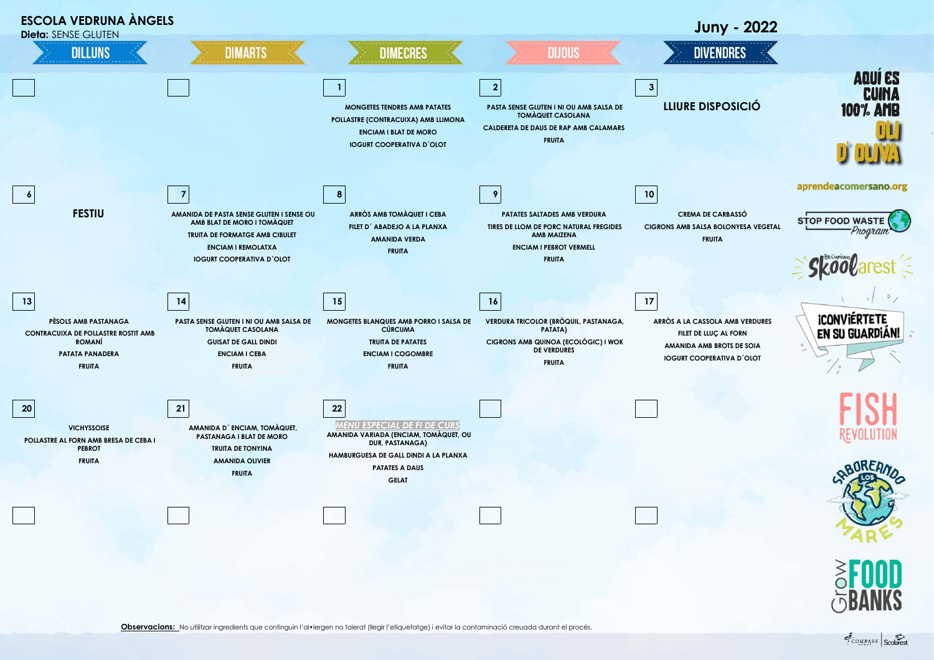

Observacions: No utilitzar ingredients que continguin l'al·lergen no tolerat (llegir l'etiquetatge) i evitar la contaminació creuada durant el procés.

COMPASS Scolarest